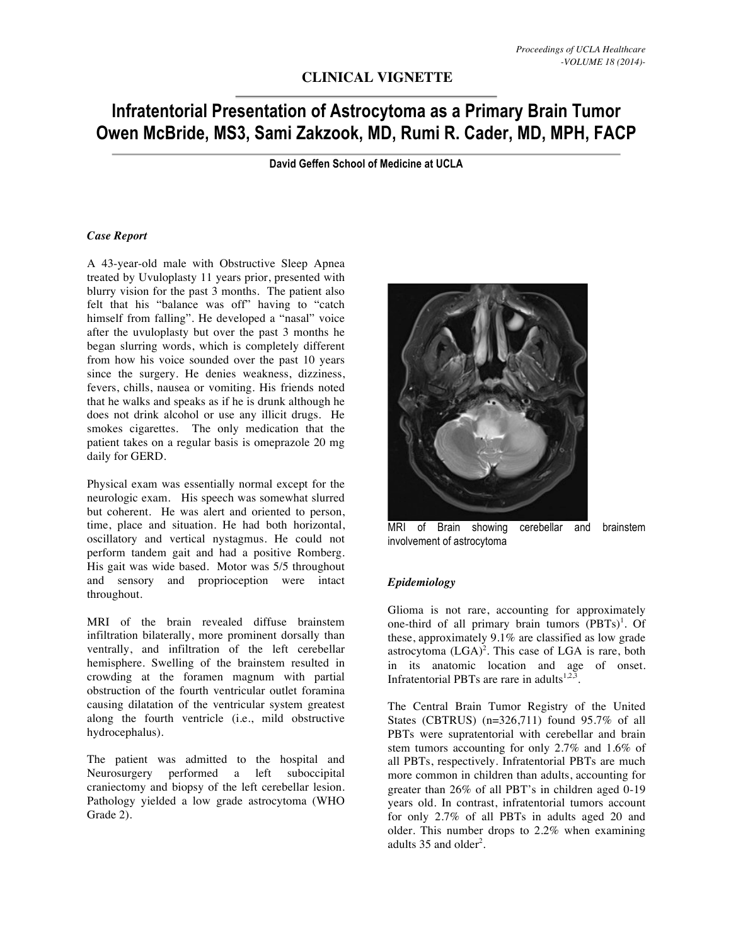# **CLINICAL VIGNETTE**

# **Infratentorial Presentation of Astrocytoma as a Primary Brain Tumor Owen McBride, MS3, Sami Zakzook, MD, Rumi R. Cader, MD, MPH, FACP**

**David Geffen School of Medicine at UCLA**

#### *Case Report*

A 43-year-old male with Obstructive Sleep Apnea treated by Uvuloplasty 11 years prior, presented with blurry vision for the past 3 months. The patient also felt that his "balance was off" having to "catch himself from falling". He developed a "nasal" voice after the uvuloplasty but over the past 3 months he began slurring words, which is completely different from how his voice sounded over the past 10 years since the surgery. He denies weakness, dizziness, fevers, chills, nausea or vomiting. His friends noted that he walks and speaks as if he is drunk although he does not drink alcohol or use any illicit drugs. He smokes cigarettes. The only medication that the patient takes on a regular basis is omeprazole 20 mg daily for GERD.

Physical exam was essentially normal except for the neurologic exam. His speech was somewhat slurred but coherent. He was alert and oriented to person, time, place and situation. He had both horizontal, oscillatory and vertical nystagmus. He could not perform tandem gait and had a positive Romberg. His gait was wide based. Motor was 5/5 throughout and sensory and proprioception were intact throughout.

MRI of the brain revealed diffuse brainstem infiltration bilaterally, more prominent dorsally than ventrally, and infiltration of the left cerebellar hemisphere. Swelling of the brainstem resulted in crowding at the foramen magnum with partial obstruction of the fourth ventricular outlet foramina causing dilatation of the ventricular system greatest along the fourth ventricle (i.e., mild obstructive hydrocephalus).

The patient was admitted to the hospital and Neurosurgery performed a left suboccipital craniectomy and biopsy of the left cerebellar lesion. Pathology yielded a low grade astrocytoma (WHO Grade 2).



MRI of Brain showing cerebellar and brainstem involvement of astrocytoma

#### *Epidemiology*

Glioma is not rare, accounting for approximately one-third of all primary brain tumors (PBTs)<sup>1</sup>. Of these, approximately 9.1% are classified as low grade astrocytoma  $(LGA)^2$ . This case of LGA is rare, both in its anatomic location and age of onset. Infratentorial PBTs are rare in adults<sup>1,2,3</sup>.

The Central Brain Tumor Registry of the United States (CBTRUS) (n=326,711) found 95.7% of all PBTs were supratentorial with cerebellar and brain stem tumors accounting for only 2.7% and 1.6% of all PBTs, respectively. Infratentorial PBTs are much more common in children than adults, accounting for greater than 26% of all PBT's in children aged 0-19 years old. In contrast, infratentorial tumors account for only 2.7% of all PBTs in adults aged 20 and older. This number drops to 2.2% when examining adults  $35$  and older<sup>2</sup>.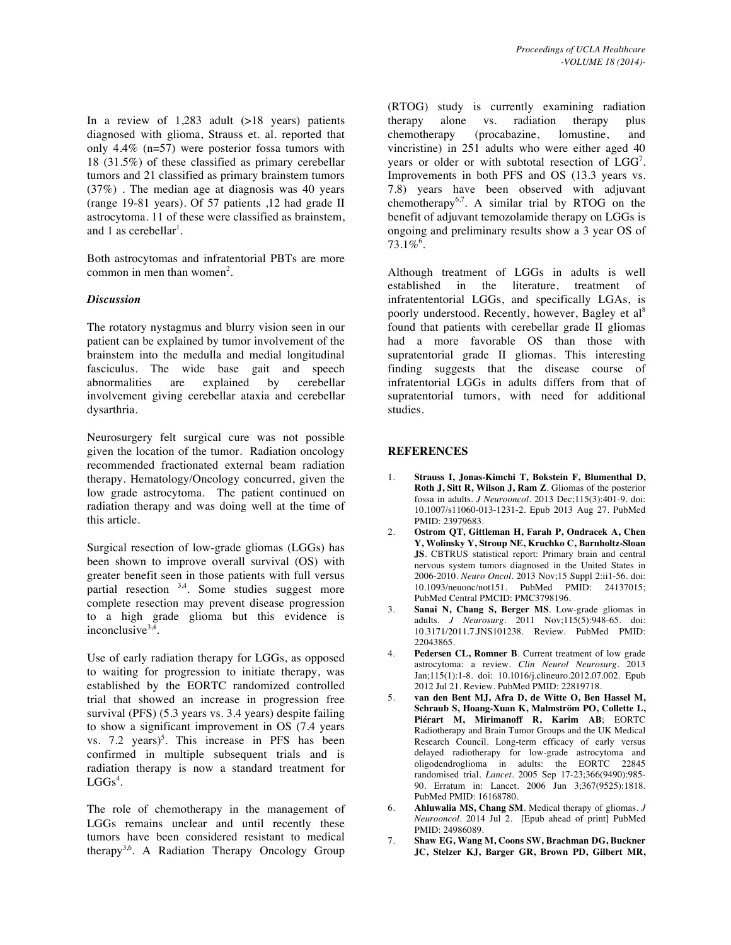In a review of  $1,283$  adult  $(>18$  years) patients diagnosed with glioma, Strauss et. al. reported that only 4.4% (n=57) were posterior fossa tumors with 18 (31.5%) of these classified as primary cerebellar tumors and 21 classified as primary brainstem tumors (37%) . The median age at diagnosis was 40 years (range 19-81 years). Of 57 patients ,12 had grade II astrocytoma. 11 of these were classified as brainstem, and 1 as cerebellar<sup>1</sup>.

Both astrocytomas and infratentorial PBTs are more common in men than women<sup>2</sup>.

## *Discussion*

The rotatory nystagmus and blurry vision seen in our patient can be explained by tumor involvement of the brainstem into the medulla and medial longitudinal fasciculus. The wide base gait and speech abnormalities are explained by cerebellar involvement giving cerebellar ataxia and cerebellar dysarthria.

Neurosurgery felt surgical cure was not possible given the location of the tumor. Radiation oncology recommended fractionated external beam radiation therapy. Hematology/Oncology concurred, given the low grade astrocytoma. The patient continued on radiation therapy and was doing well at the time of this article.

Surgical resection of low-grade gliomas (LGGs) has been shown to improve overall survival (OS) with greater benefit seen in those patients with full versus partial resection  $3,4$ . Some studies suggest more complete resection may prevent disease progression to a high grade glioma but this evidence is inconclusive $3,4$ 

Use of early radiation therapy for LGGs, as opposed to waiting for progression to initiate therapy, was established by the EORTC randomized controlled trial that showed an increase in progression free survival (PFS) (5.3 years vs. 3.4 years) despite failing to show a significant improvement in OS (7.4 years vs.  $7.2 \text{ years}$ <sup>5</sup>. This increase in PFS has been confirmed in multiple subsequent trials and is radiation therapy is now a standard treatment for  $LGGs<sup>4</sup>$ .

The role of chemotherapy in the management of LGGs remains unclear and until recently these tumors have been considered resistant to medical therapy<sup>3,6</sup>. A Radiation Therapy Oncology Group

(RTOG) study is currently examining radiation therapy alone vs. radiation therapy plus chemotherapy (procabazine, lomustine, and vincristine) in 251 adults who were either aged 40 years or older or with subtotal resection of  $LGG<sup>7</sup>$ . Improvements in both PFS and OS (13.3 years vs. 7.8) years have been observed with adjuvant chemotherapy<sup>6,7</sup>. A similar trial by RTOG on the benefit of adjuvant temozolamide therapy on LGGs is ongoing and preliminary results show a 3 year OS of  $73.1\%$ <sup>6</sup>.

Although treatment of LGGs in adults is well established in the literature, treatment of infratententorial LGGs, and specifically LGAs, is poorly understood. Recently, however, Bagley et al<sup>8</sup> found that patients with cerebellar grade II gliomas had a more favorable OS than those with supratentorial grade II gliomas. This interesting finding suggests that the disease course of infratentorial LGGs in adults differs from that of supratentorial tumors, with need for additional studies.

## **REFERENCES**

- 1. **Strauss I, Jonas-Kimchi T, Bokstein F, Blumenthal D, Roth J, Sitt R, Wilson J, Ram Z**. Gliomas of the posterior fossa in adults. *J Neurooncol*. 2013 Dec;115(3):401-9. doi: 10.1007/s11060-013-1231-2. Epub 2013 Aug 27. PubMed PMID: 23979683.
- 2. **Ostrom QT, Gittleman H, Farah P, Ondracek A, Chen Y, Wolinsky Y, Stroup NE, Kruchko C, Barnholtz-Sloan JS**. CBTRUS statistical report: Primary brain and central nervous system tumors diagnosed in the United States in 2006-2010. *Neuro Oncol*. 2013 Nov;15 Suppl 2:ii1-56. doi: 10.1093/neuonc/not151. PubMed PMID: 24137015; PubMed Central PMCID: PMC3798196.
- 3. **Sanai N, Chang S, Berger MS**. Low-grade gliomas in adults. *J Neurosurg*. 2011 Nov;115(5):948-65. doi: 10.3171/2011.7.JNS101238. Review. PubMed PMID: 22043865.
- 4. **Pedersen CL, Romner B**. Current treatment of low grade astrocytoma: a review. *Clin Neurol Neurosurg*. 2013 Jan;115(1):1-8. doi: 10.1016/j.clineuro.2012.07.002. Epub 2012 Jul 21. Review. PubMed PMID: 22819718.
- 5. **van den Bent MJ, Afra D, de Witte O, Ben Hassel M, Schraub S, Hoang-Xuan K, Malmström PO, Collette L, Piérart M, Mirimanoff R, Karim AB**; EORTC Radiotherapy and Brain Tumor Groups and the UK Medical Research Council. Long-term efficacy of early versus delayed radiotherapy for low-grade astrocytoma and oligodendroglioma in adults: the EORTC 22845 randomised trial. *Lancet*. 2005 Sep 17-23;366(9490):985- 90. Erratum in: Lancet. 2006 Jun 3;367(9525):1818. PubMed PMID: 16168780.
- 6. **Ahluwalia MS, Chang SM**. Medical therapy of gliomas. *J Neurooncol*. 2014 Jul 2. [Epub ahead of print] PubMed PMID: 24986089.
- 7. **Shaw EG, Wang M, Coons SW, Brachman DG, Buckner JC, Stelzer KJ, Barger GR, Brown PD, Gilbert MR,**